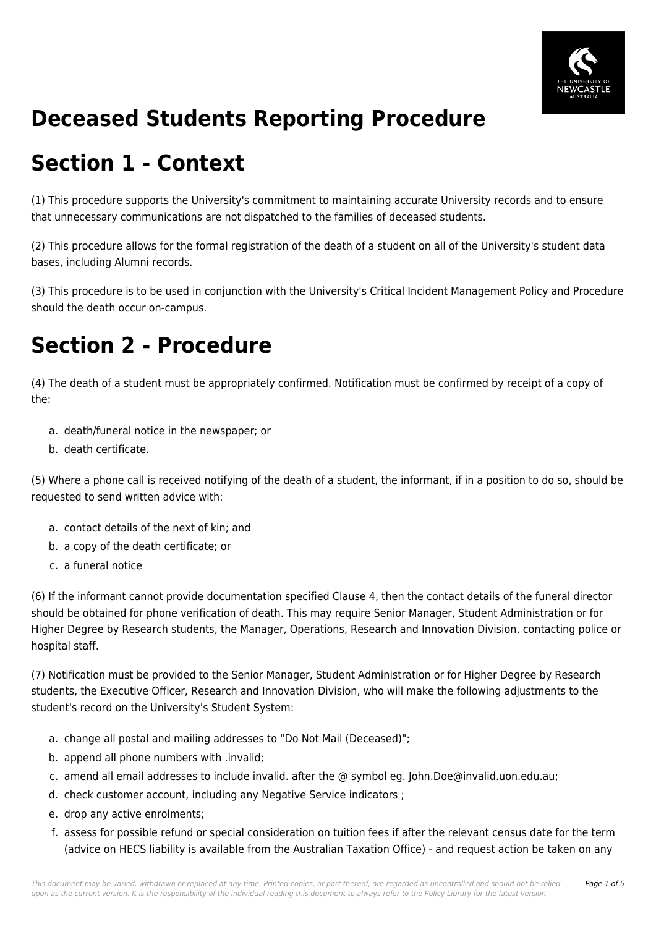

## **Deceased Students Reporting Procedure**

## **Section 1 - Context**

(1) This procedure supports the University's commitment to maintaining accurate University records and to ensure that unnecessary communications are not dispatched to the families of deceased students.

(2) This procedure allows for the formal registration of the death of a student on all of the University's student data bases, including Alumni records.

(3) This procedure is to be used in conjunction with the University's Critical Incident Management Policy and Procedure should the death occur on-campus.

# **Section 2 - Procedure**

(4) The death of a student must be appropriately confirmed. Notification must be confirmed by receipt of a copy of the:

- a. death/funeral notice in the newspaper; or
- b. death certificate.

(5) Where a phone call is received notifying of the death of a student, the informant, if in a position to do so, should be requested to send written advice with:

- a. contact details of the next of kin; and
- b. a copy of the death certificate; or
- c. a funeral notice

(6) If the informant cannot provide documentation specified Clause 4, then the contact details of the funeral director should be obtained for phone verification of death. This may require Senior Manager, Student Administration or for Higher Degree by Research students, the Manager, Operations, Research and Innovation Division, contacting police or hospital staff.

(7) Notification must be provided to the Senior Manager, Student Administration or for Higher Degree by Research students, the Executive Officer, Research and Innovation Division, who will make the following adjustments to the student's record on the University's Student System:

- a. change all postal and mailing addresses to "Do Not Mail (Deceased)";
- b. append all phone numbers with .invalid;
- c. amend all email addresses to include invalid. after the @ symbol eg. John.Doe@invalid.uon.edu.au;
- d. check customer account, including any Negative Service indicators ;
- e. drop any active enrolments;
- f. assess for possible refund or special consideration on tuition fees if after the relevant census date for the term (advice on HECS liability is available from the Australian Taxation Office) - and request action be taken on any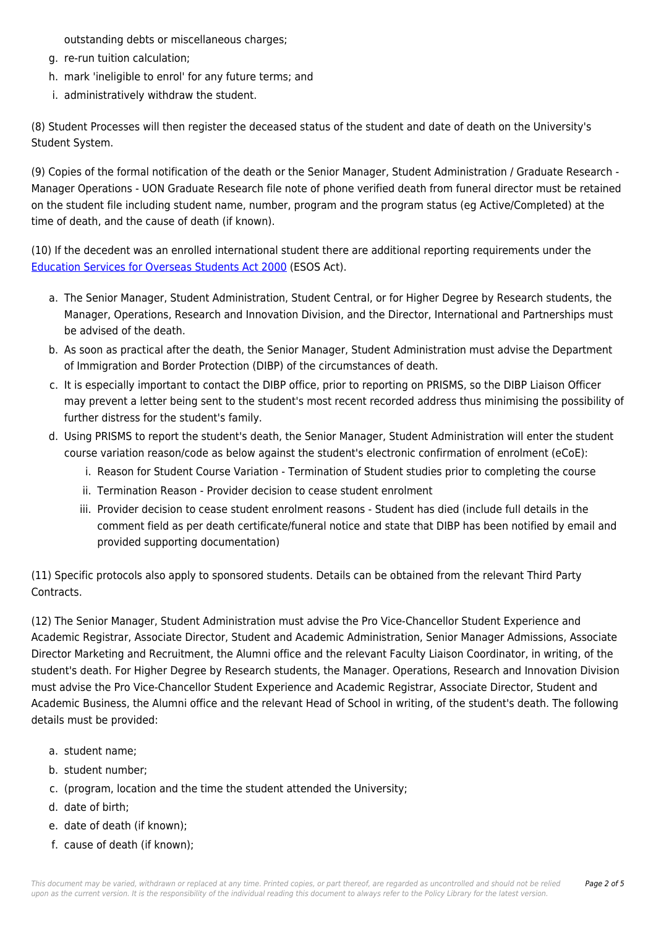outstanding debts or miscellaneous charges;

- g. re-run tuition calculation;
- h. mark 'ineligible to enrol' for any future terms; and
- i. administratively withdraw the student.

(8) Student Processes will then register the deceased status of the student and date of death on the University's Student System.

(9) Copies of the formal notification of the death or the Senior Manager, Student Administration / Graduate Research - Manager Operations - UON Graduate Research file note of phone verified death from funeral director must be retained on the student file including student name, number, program and the program status (eg Active/Completed) at the time of death, and the cause of death (if known).

(10) If the decedent was an enrolled international student there are additional reporting requirements under the [Education Services for Overseas Students Act 2000](https://policies.newcastle.edu.au/directory-summary.php?legislation=12) (ESOS Act).

- a. The Senior Manager, Student Administration, Student Central, or for Higher Degree by Research students, the Manager, Operations, Research and Innovation Division, and the Director, International and Partnerships must be advised of the death.
- b. As soon as practical after the death, the Senior Manager, Student Administration must advise the Department of Immigration and Border Protection (DIBP) of the circumstances of death.
- c. It is especially important to contact the DIBP office, prior to reporting on PRISMS, so the DIBP Liaison Officer may prevent a letter being sent to the student's most recent recorded address thus minimising the possibility of further distress for the student's family.
- d. Using PRISMS to report the student's death, the Senior Manager, Student Administration will enter the student course variation reason/code as below against the student's electronic confirmation of enrolment (eCoE):
	- i. Reason for Student Course Variation Termination of Student studies prior to completing the course
	- ii. Termination Reason Provider decision to cease student enrolment
	- iii. Provider decision to cease student enrolment reasons Student has died (include full details in the comment field as per death certificate/funeral notice and state that DIBP has been notified by email and provided supporting documentation)

(11) Specific protocols also apply to sponsored students. Details can be obtained from the relevant Third Party Contracts.

(12) The Senior Manager, Student Administration must advise the Pro Vice-Chancellor Student Experience and Academic Registrar, Associate Director, Student and Academic Administration, Senior Manager Admissions, Associate Director Marketing and Recruitment, the Alumni office and the relevant Faculty Liaison Coordinator, in writing, of the student's death. For Higher Degree by Research students, the Manager. Operations, Research and Innovation Division must advise the Pro Vice-Chancellor Student Experience and Academic Registrar, Associate Director, Student and Academic Business, the Alumni office and the relevant Head of School in writing, of the student's death. The following details must be provided:

- a. student name;
- b. student number;
- c. (program, location and the time the student attended the University;
- d. date of birth;
- e. date of death (if known);
- f. cause of death (if known);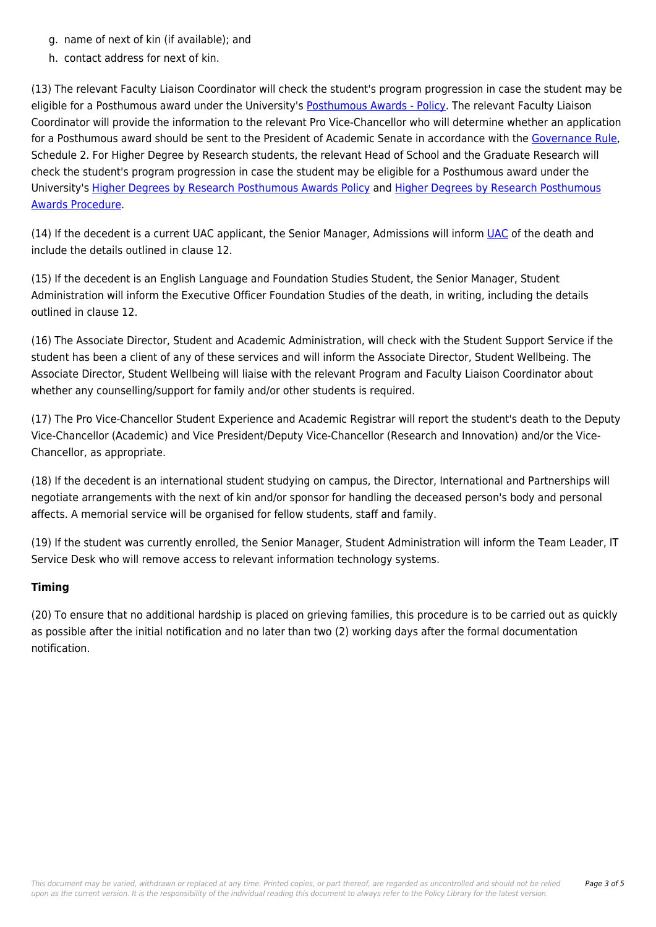- g. name of next of kin (if available); and
- h. contact address for next of kin.

(13) The relevant Faculty Liaison Coordinator will check the student's program progression in case the student may be eligible for a Posthumous award under the University's [Posthumous Awards - Policy.](https://policies.newcastle.edu.au/document/view-current.php?id=95) The relevant Faculty Liaison Coordinator will provide the information to the relevant Pro Vice-Chancellor who will determine whether an application for a Posthumous award should be sent to the President of Academic Senate in accordance with the [Governance Rule](https://policies.newcastle.edu.au/document/view-current.php?id=152), Schedule 2. For Higher Degree by Research students, the relevant Head of School and the Graduate Research will check the student's program progression in case the student may be eligible for a Posthumous award under the University's [Higher Degrees by Research Posthumous Awards Policy](https://policies.newcastle.edu.au/document/view-current.php?id=71) and [Higher Degrees by Research Posthumous](https://policies.newcastle.edu.au/document/view-current.php?id=70) [Awards Procedure](https://policies.newcastle.edu.au/document/view-current.php?id=70).

(14) If the decedent is a current [UAC](https://policies.newcastle.edu.au/download.php?id=330&version=1&associated) applicant, the Senior Manager, Admissions will inform UAC of the death and include the details outlined in clause 12.

(15) If the decedent is an English Language and Foundation Studies Student, the Senior Manager, Student Administration will inform the Executive Officer Foundation Studies of the death, in writing, including the details outlined in clause 12.

(16) The Associate Director, Student and Academic Administration, will check with the Student Support Service if the student has been a client of any of these services and will inform the Associate Director, Student Wellbeing. The Associate Director, Student Wellbeing will liaise with the relevant Program and Faculty Liaison Coordinator about whether any counselling/support for family and/or other students is required.

(17) The Pro Vice-Chancellor Student Experience and Academic Registrar will report the student's death to the Deputy Vice-Chancellor (Academic) and Vice President/Deputy Vice-Chancellor (Research and Innovation) and/or the Vice-Chancellor, as appropriate.

(18) If the decedent is an international student studying on campus, the Director, International and Partnerships will negotiate arrangements with the next of kin and/or sponsor for handling the deceased person's body and personal affects. A memorial service will be organised for fellow students, staff and family.

(19) If the student was currently enrolled, the Senior Manager, Student Administration will inform the Team Leader, IT Service Desk who will remove access to relevant information technology systems.

#### **Timing**

(20) To ensure that no additional hardship is placed on grieving families, this procedure is to be carried out as quickly as possible after the initial notification and no later than two (2) working days after the formal documentation notification.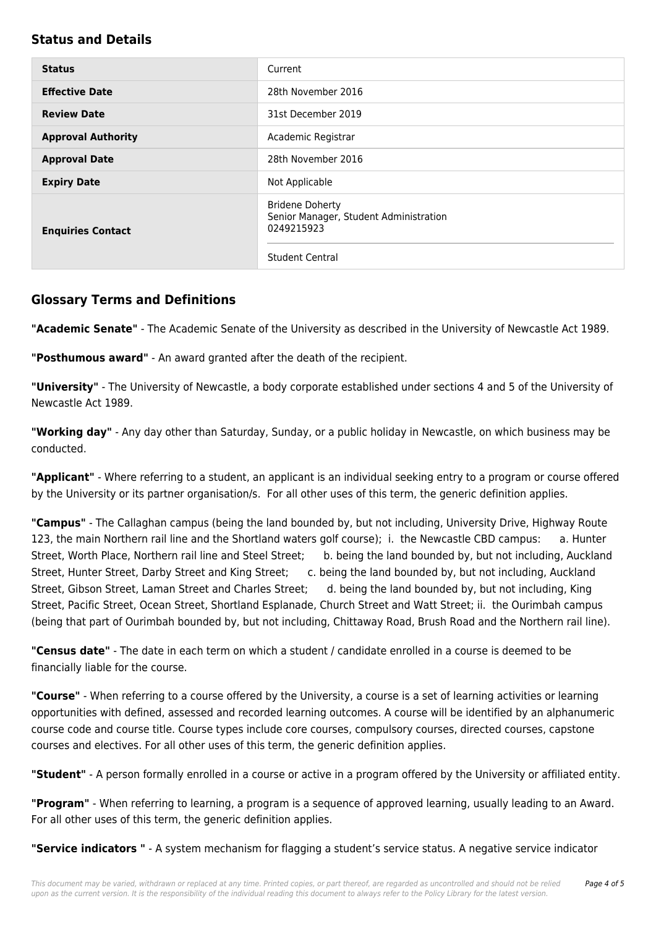### **Status and Details**

| <b>Status</b>             | Current                                                                                                  |
|---------------------------|----------------------------------------------------------------------------------------------------------|
| <b>Effective Date</b>     | 28th November 2016                                                                                       |
| <b>Review Date</b>        | 31st December 2019                                                                                       |
| <b>Approval Authority</b> | Academic Registrar                                                                                       |
| <b>Approval Date</b>      | 28th November 2016                                                                                       |
| <b>Expiry Date</b>        | Not Applicable                                                                                           |
| <b>Enquiries Contact</b>  | <b>Bridene Doherty</b><br>Senior Manager, Student Administration<br>0249215923<br><b>Student Central</b> |

### **Glossary Terms and Definitions**

**"Academic Senate"** - The Academic Senate of the University as described in the University of Newcastle Act 1989.

**"Posthumous award"** - An award granted after the death of the recipient.

**"University"** - The University of Newcastle, a body corporate established under sections 4 and 5 of the University of Newcastle Act 1989.

**"Working day"** - Any day other than Saturday, Sunday, or a public holiday in Newcastle, on which business may be conducted.

**"Applicant"** - Where referring to a student, an applicant is an individual seeking entry to a program or course offered by the University or its partner organisation/s. For all other uses of this term, the generic definition applies.

**"Campus"** - The Callaghan campus (being the land bounded by, but not including, University Drive, Highway Route 123, the main Northern rail line and the Shortland waters golf course); i. the Newcastle CBD campus: a. Hunter Street, Worth Place, Northern rail line and Steel Street; b. being the land bounded by, but not including, Auckland Street, Hunter Street, Darby Street and King Street; c. being the land bounded by, but not including, Auckland Street, Gibson Street, Laman Street and Charles Street; d. being the land bounded by, but not including, King Street, Pacific Street, Ocean Street, Shortland Esplanade, Church Street and Watt Street; ii. the Ourimbah campus (being that part of Ourimbah bounded by, but not including, Chittaway Road, Brush Road and the Northern rail line).

**"Census date"** - The date in each term on which a student / candidate enrolled in a course is deemed to be financially liable for the course.

**"Course"** - When referring to a course offered by the University, a course is a set of learning activities or learning opportunities with defined, assessed and recorded learning outcomes. A course will be identified by an alphanumeric course code and course title. Course types include core courses, compulsory courses, directed courses, capstone courses and electives. For all other uses of this term, the generic definition applies.

**"Student"** - A person formally enrolled in a course or active in a program offered by the University or affiliated entity.

**"Program"** - When referring to learning, a program is a sequence of approved learning, usually leading to an Award. For all other uses of this term, the generic definition applies.

**"Service indicators "** - A system mechanism for flagging a student's service status. A negative service indicator